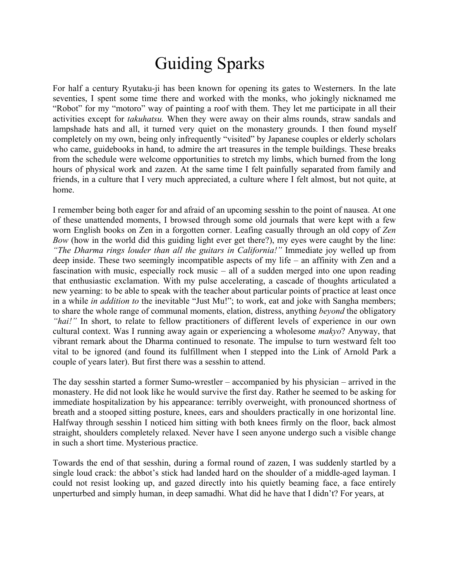## Guiding Sparks

For half a century Ryutaku-ji has been known for opening its gates to Westerners. In the late seventies, I spent some time there and worked with the monks, who jokingly nicknamed me "Robot" for my "motoro" way of painting a roof with them. They let me participate in all their activities except for *takuhatsu.* When they were away on their alms rounds, straw sandals and lampshade hats and all, it turned very quiet on the monastery grounds. I then found myself completely on my own, being only infrequently "visited" by Japanese couples or elderly scholars who came, guidebooks in hand, to admire the art treasures in the temple buildings. These breaks from the schedule were welcome opportunities to stretch my limbs, which burned from the long hours of physical work and zazen. At the same time I felt painfully separated from family and friends, in a culture that I very much appreciated, a culture where I felt almost, but not quite, at home.

I remember being both eager for and afraid of an upcoming sesshin to the point of nausea. At one of these unattended moments, I browsed through some old journals that were kept with a few worn English books on Zen in a forgotten corner. Leafing casually through an old copy of *Zen Bow* (how in the world did this guiding light ever get there?), my eyes were caught by the line: *"The Dharma rings louder than all the guitars in California!"* Immediate joy welled up from deep inside. These two seemingly incompatible aspects of my life – an affinity with Zen and a fascination with music, especially rock music – all of a sudden merged into one upon reading that enthusiastic exclamation. With my pulse accelerating, a cascade of thoughts articulated a new yearning: to be able to speak with the teacher about particular points of practice at least once in a while *in addition to* the inevitable "Just Mu!"; to work, eat and joke with Sangha members; to share the whole range of communal moments, elation, distress, anything *beyond* the obligatory *"hai!"* In short, to relate to fellow practitioners of different levels of experience in our own cultural context. Was I running away again or experiencing a wholesome *makyo*? Anyway, that vibrant remark about the Dharma continued to resonate. The impulse to turn westward felt too vital to be ignored (and found its fulfillment when I stepped into the Link of Arnold Park a couple of years later). But first there was a sesshin to attend.

The day sesshin started a former Sumo-wrestler – accompanied by his physician – arrived in the monastery. He did not look like he would survive the first day. Rather he seemed to be asking for immediate hospitalization by his appearance: terribly overweight, with pronounced shortness of breath and a stooped sitting posture, knees, ears and shoulders practically in one horizontal line. Halfway through sesshin I noticed him sitting with both knees firmly on the floor, back almost straight, shoulders completely relaxed. Never have I seen anyone undergo such a visible change in such a short time. Mysterious practice.

Towards the end of that sesshin, during a formal round of zazen, I was suddenly startled by a single loud crack: the abbot's stick had landed hard on the shoulder of a middle-aged layman. I could not resist looking up, and gazed directly into his quietly beaming face, a face entirely unperturbed and simply human, in deep samadhi. What did he have that I didn't? For years, at